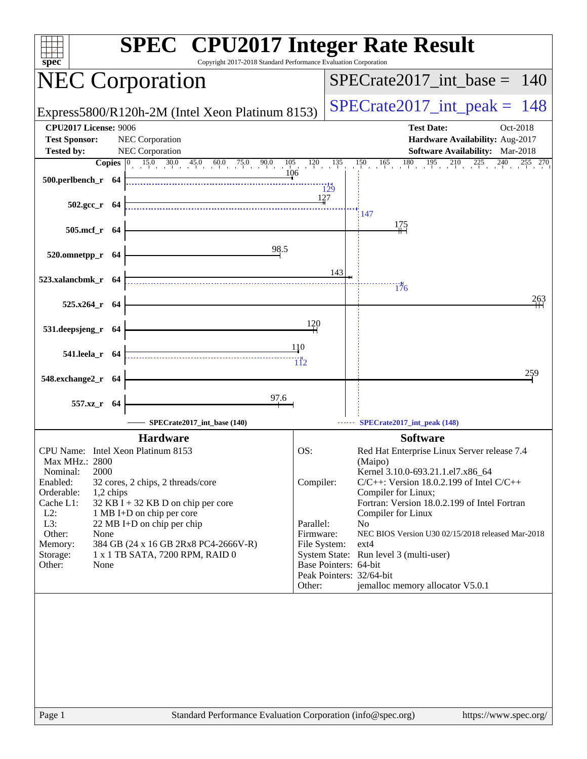| spec                                                 | <b>SPEC<sup>®</sup></b> CPU2017 Integer Rate Result<br>Copyright 2017-2018 Standard Performance Evaluation Corporation                          |                         |     |                                                                                       |
|------------------------------------------------------|-------------------------------------------------------------------------------------------------------------------------------------------------|-------------------------|-----|---------------------------------------------------------------------------------------|
| <b>NEC Corporation</b>                               |                                                                                                                                                 |                         |     | $SPECrate2017\_int\_base = 140$                                                       |
|                                                      | Express5800/R120h-2M (Intel Xeon Platinum 8153)                                                                                                 |                         |     | $SPECrate2017\_int\_peak = 148$                                                       |
| <b>CPU2017 License: 9006</b><br><b>Test Sponsor:</b> | <b>NEC</b> Corporation                                                                                                                          |                         |     | <b>Test Date:</b><br>Oct-2018<br>Hardware Availability: Aug-2017                      |
| <b>Tested by:</b>                                    | <b>NEC Corporation</b>                                                                                                                          |                         |     | Software Availability: Mar-2018                                                       |
| 500.perlbench_r 64                                   | <b>Copies</b> $\begin{bmatrix} 0 & 15.0 & 30.0 & 45.0 & 60.0 & 75.0 & 90.0 & 105 & 120 & 135 \ 10 & 10 & 10 & 10 & 10 & 1 \end{bmatrix}$<br>106 | 129                     |     | $150 \t165$<br>180<br>$195 \t210$<br>$\overline{225}$ $\overline{240}$<br>$255$ $270$ |
| $502.\text{gcc}_r$ 64                                |                                                                                                                                                 | 127                     |     | 147                                                                                   |
| 505.mcf_r 64                                         |                                                                                                                                                 |                         |     | 175                                                                                   |
| 520.omnetpp_r 64                                     | 98.5                                                                                                                                            |                         |     |                                                                                       |
| 523.xalancbmk_r 64                                   |                                                                                                                                                 |                         | 143 | 176                                                                                   |
| 525.x264_r 64                                        |                                                                                                                                                 |                         |     | 263                                                                                   |
| 531.deepsjeng_r 64                                   |                                                                                                                                                 | 120                     |     |                                                                                       |
| 541.leela_r 64                                       |                                                                                                                                                 | 110<br>$\overline{112}$ |     |                                                                                       |
| 548.exchange2_r 64                                   |                                                                                                                                                 |                         |     | 259                                                                                   |
| 557.xz_r 64                                          | $\frac{97.6}{4}$                                                                                                                                |                         |     |                                                                                       |
|                                                      | SPECrate2017_int_base (140)                                                                                                                     |                         |     | SPECrate2017_int_peak (148)                                                           |
|                                                      | <b>Hardware</b>                                                                                                                                 |                         |     | <b>Software</b>                                                                       |
| CPU Name: Intel Xeon Platinum 8153                   |                                                                                                                                                 | OS:                     |     | Red Hat Enterprise Linux Server release 7.4                                           |
| Max MHz.: 2800<br>2000<br>Nominal:                   |                                                                                                                                                 |                         |     | (Maipo)<br>Kernel 3.10.0-693.21.1.el7.x86_64                                          |
| Enabled:                                             | 32 cores, 2 chips, 2 threads/core                                                                                                               | Compiler:               |     | $C/C++$ : Version 18.0.2.199 of Intel $C/C++$                                         |
| Orderable:<br>1,2 chips                              |                                                                                                                                                 |                         |     | Compiler for Linux;                                                                   |
| Cache L1:<br>$L2$ :                                  | 32 KB I + 32 KB D on chip per core<br>1 MB I+D on chip per core                                                                                 |                         |     | Fortran: Version 18.0.2.199 of Intel Fortran<br>Compiler for Linux                    |
| L3:                                                  | 22 MB I+D on chip per chip                                                                                                                      | Parallel:               |     | No                                                                                    |
| Other:<br>None                                       |                                                                                                                                                 | Firmware:               |     | NEC BIOS Version U30 02/15/2018 released Mar-2018                                     |
| Memory:<br>Storage:                                  | 384 GB (24 x 16 GB 2Rx8 PC4-2666V-R)<br>1 x 1 TB SATA, 7200 RPM, RAID 0                                                                         | File System:            |     | $ext{4}$<br>System State: Run level 3 (multi-user)                                    |
| Other:<br>None                                       |                                                                                                                                                 | Base Pointers: 64-bit   |     |                                                                                       |
|                                                      |                                                                                                                                                 |                         |     | Peak Pointers: 32/64-bit                                                              |
|                                                      |                                                                                                                                                 | Other:                  |     | jemalloc memory allocator V5.0.1                                                      |
|                                                      |                                                                                                                                                 |                         |     |                                                                                       |
| Page 1                                               | Standard Performance Evaluation Corporation (info@spec.org)                                                                                     |                         |     | https://www.spec.org/                                                                 |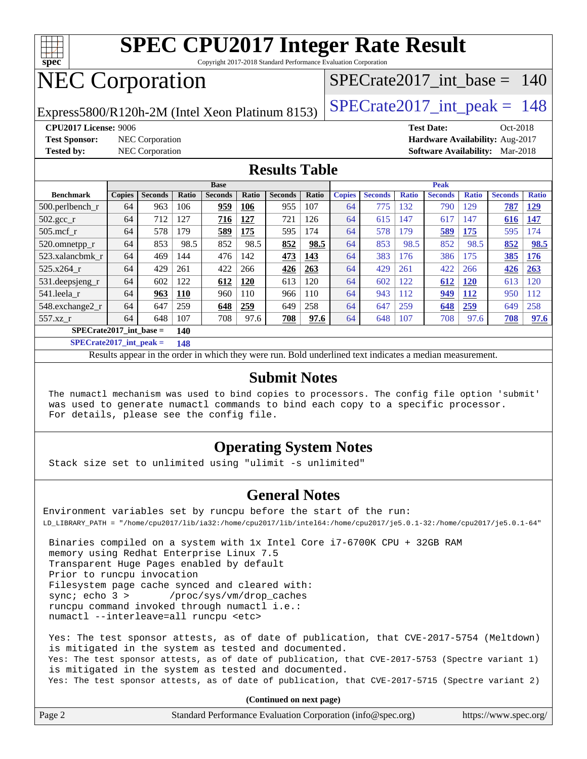

Copyright 2017-2018 Standard Performance Evaluation Corporation

## NEC Corporation

[SPECrate2017\\_int\\_base =](http://www.spec.org/auto/cpu2017/Docs/result-fields.html#SPECrate2017intbase) 140

Express5800/R120h-2M (Intel Xeon Platinum 8153) [SPECrate2017\\_int\\_peak =](http://www.spec.org/auto/cpu2017/Docs/result-fields.html#SPECrate2017intpeak)  $148$ 

**[Test Sponsor:](http://www.spec.org/auto/cpu2017/Docs/result-fields.html#TestSponsor)** NEC Corporation **[Hardware Availability:](http://www.spec.org/auto/cpu2017/Docs/result-fields.html#HardwareAvailability)** Aug-2017

**[CPU2017 License:](http://www.spec.org/auto/cpu2017/Docs/result-fields.html#CPU2017License)** 9006 **[Test Date:](http://www.spec.org/auto/cpu2017/Docs/result-fields.html#TestDate)** Oct-2018 **[Tested by:](http://www.spec.org/auto/cpu2017/Docs/result-fields.html#Testedby)** NEC Corporation **[Software Availability:](http://www.spec.org/auto/cpu2017/Docs/result-fields.html#SoftwareAvailability)** Mar-2018

#### **[Results Table](http://www.spec.org/auto/cpu2017/Docs/result-fields.html#ResultsTable)**

|                                  | <b>Base</b>   |                |       |                |            |                | <b>Peak</b> |               |                |              |                |              |                |              |
|----------------------------------|---------------|----------------|-------|----------------|------------|----------------|-------------|---------------|----------------|--------------|----------------|--------------|----------------|--------------|
| <b>Benchmark</b>                 | <b>Copies</b> | <b>Seconds</b> | Ratio | <b>Seconds</b> | Ratio      | <b>Seconds</b> | Ratio       | <b>Copies</b> | <b>Seconds</b> | <b>Ratio</b> | <b>Seconds</b> | <b>Ratio</b> | <b>Seconds</b> | <b>Ratio</b> |
| $500$ .perlbench r               | 64            | 963            | 106   | 959            | 106        | 955            | 107         | 64            | 775            | 132          | 790            | 129          | 787            | <u>129</u>   |
| $502.\text{gcc}_r$               | 64            | 712            | 127   | 716            | 127        | 721            | 126         | 64            | 615            | 147          | 617            | 147          | 616            | 147          |
| $505$ .mcf r                     | 64            | 578            | 179   | 589            | 175        | 595            | 174         | 64            | 578            | 179          | 589            | 175          | 595            | 74           |
| 520.omnetpp_r                    | 64            | 853            | 98.5  | 852            | 98.5       | 852            | 98.5        | 64            | 853            | 98.5         | 852            | 98.5         | 852            | 98.5         |
| 523.xalancbmk r                  | 64            | 469            | 144   | 476            | 142        | 473            | 143         | 64            | 383            | 176          | 386            | 175          | 385            | 176          |
| 525.x264 r                       | 64            | 429            | 261   | 422            | 266        | 426            | 263         | 64            | 429            | 261          | 422            | 266          | 426            | 263          |
| 531.deepsjeng_r                  | 64            | 602            | 122   | 612            | <b>120</b> | 613            | 120         | 64            | 602            | 122          | 612            | <b>120</b>   | 613            | 120          |
| 541.leela r                      | 64            | 963            | 110   | 960            | 110        | 966            | 110         | 64            | 943            | 112          | <u>949</u>     | <b>112</b>   | 950            | 112          |
| 548.exchange2_r                  | 64            | 647            | 259   | 648            | 259        | 649            | 258         | 64            | 647            | 259          | 648            | 259          | 649            | 258          |
| 557.xz r                         | 64            | 648            | 107   | 708            | 97.6       | 708            | 97.6        | 64            | 648            | 107          | 708            | 97.6         | 708            | 97.6         |
| $SPECrate2017$ int base =<br>140 |               |                |       |                |            |                |             |               |                |              |                |              |                |              |

**[SPECrate2017\\_int\\_peak =](http://www.spec.org/auto/cpu2017/Docs/result-fields.html#SPECrate2017intpeak) 148**

Results appear in the [order in which they were run.](http://www.spec.org/auto/cpu2017/Docs/result-fields.html#RunOrder) Bold underlined text [indicates a median measurement.](http://www.spec.org/auto/cpu2017/Docs/result-fields.html#Median)

#### **[Submit Notes](http://www.spec.org/auto/cpu2017/Docs/result-fields.html#SubmitNotes)**

 The numactl mechanism was used to bind copies to processors. The config file option 'submit' was used to generate numactl commands to bind each copy to a specific processor. For details, please see the config file.

#### **[Operating System Notes](http://www.spec.org/auto/cpu2017/Docs/result-fields.html#OperatingSystemNotes)**

Stack size set to unlimited using "ulimit -s unlimited"

#### **[General Notes](http://www.spec.org/auto/cpu2017/Docs/result-fields.html#GeneralNotes)**

Environment variables set by runcpu before the start of the run: LD\_LIBRARY\_PATH = "/home/cpu2017/lib/ia32:/home/cpu2017/lib/intel64:/home/cpu2017/je5.0.1-32:/home/cpu2017/je5.0.1-64"

 Binaries compiled on a system with 1x Intel Core i7-6700K CPU + 32GB RAM memory using Redhat Enterprise Linux 7.5 Transparent Huge Pages enabled by default Prior to runcpu invocation Filesystem page cache synced and cleared with: sync; echo 3 > /proc/sys/vm/drop\_caches runcpu command invoked through numactl i.e.: numactl --interleave=all runcpu <etc>

 Yes: The test sponsor attests, as of date of publication, that CVE-2017-5754 (Meltdown) is mitigated in the system as tested and documented. Yes: The test sponsor attests, as of date of publication, that CVE-2017-5753 (Spectre variant 1) is mitigated in the system as tested and documented. Yes: The test sponsor attests, as of date of publication, that CVE-2017-5715 (Spectre variant 2)

**(Continued on next page)**

| Page 2<br>Standard Performance Evaluation Corporation (info@spec.org) | https://www.spec.org/ |
|-----------------------------------------------------------------------|-----------------------|
|-----------------------------------------------------------------------|-----------------------|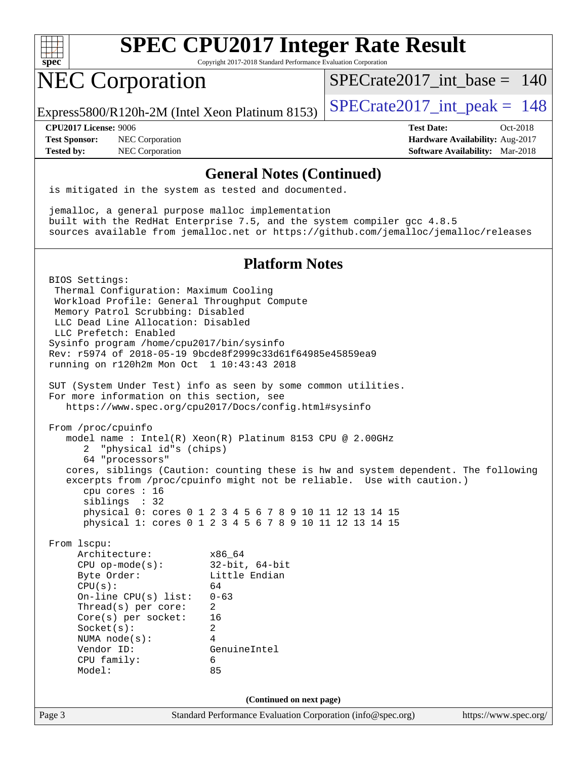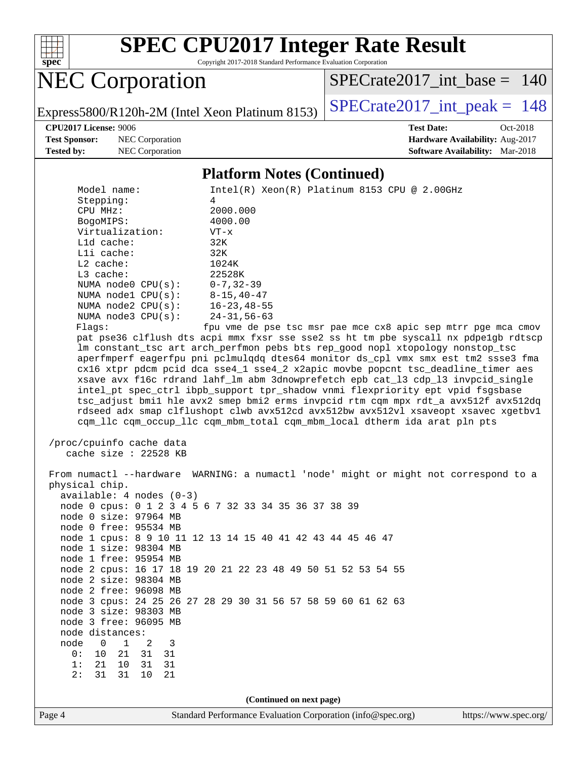

Copyright 2017-2018 Standard Performance Evaluation Corporation

NEC Corporation

[SPECrate2017\\_int\\_base =](http://www.spec.org/auto/cpu2017/Docs/result-fields.html#SPECrate2017intbase) 140

Express5800/R120h-2M (Intel Xeon Platinum 8153) [SPECrate2017\\_int\\_peak =](http://www.spec.org/auto/cpu2017/Docs/result-fields.html#SPECrate2017intpeak)  $148$ 

**[Test Sponsor:](http://www.spec.org/auto/cpu2017/Docs/result-fields.html#TestSponsor)** NEC Corporation **[Hardware Availability:](http://www.spec.org/auto/cpu2017/Docs/result-fields.html#HardwareAvailability)** Aug-2017 **[Tested by:](http://www.spec.org/auto/cpu2017/Docs/result-fields.html#Testedby)** NEC Corporation **[Software Availability:](http://www.spec.org/auto/cpu2017/Docs/result-fields.html#SoftwareAvailability)** Mar-2018

**[CPU2017 License:](http://www.spec.org/auto/cpu2017/Docs/result-fields.html#CPU2017License)** 9006 **[Test Date:](http://www.spec.org/auto/cpu2017/Docs/result-fields.html#TestDate)** Oct-2018

#### **[Platform Notes \(Continued\)](http://www.spec.org/auto/cpu2017/Docs/result-fields.html#PlatformNotes)**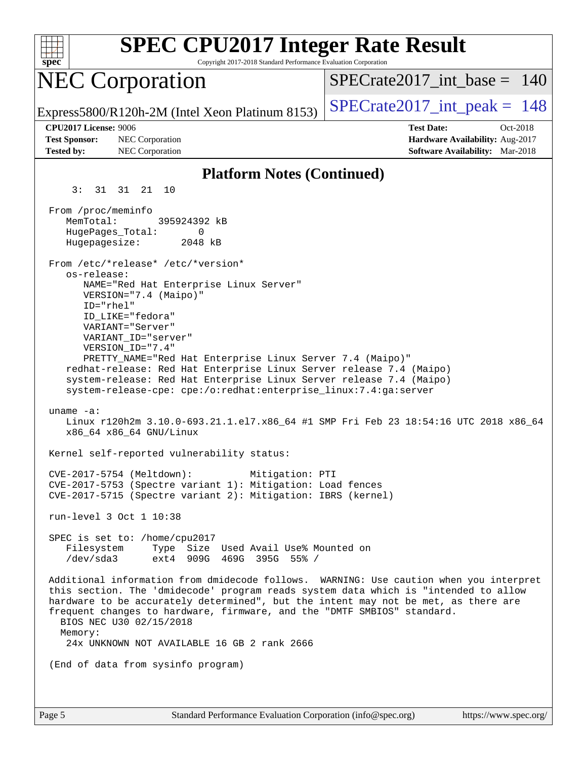| <b>SPEC CPU2017 Integer Rate Result</b><br>Copyright 2017-2018 Standard Performance Evaluation Corporation<br>$spec^*$                                                                                                                                                                                                                                                                                                                                                                                                |                                                                                                            |
|-----------------------------------------------------------------------------------------------------------------------------------------------------------------------------------------------------------------------------------------------------------------------------------------------------------------------------------------------------------------------------------------------------------------------------------------------------------------------------------------------------------------------|------------------------------------------------------------------------------------------------------------|
| <b>NEC Corporation</b>                                                                                                                                                                                                                                                                                                                                                                                                                                                                                                | $SPECrate2017$ int base = 140                                                                              |
| Express5800/R120h-2M (Intel Xeon Platinum 8153)                                                                                                                                                                                                                                                                                                                                                                                                                                                                       | $SPECTate2017\_int\_peak = 148$                                                                            |
| CPU2017 License: 9006<br><b>Test Sponsor:</b><br>NEC Corporation<br><b>Tested by:</b><br>NEC Corporation                                                                                                                                                                                                                                                                                                                                                                                                              | <b>Test Date:</b><br>Oct-2018<br>Hardware Availability: Aug-2017<br><b>Software Availability:</b> Mar-2018 |
| <b>Platform Notes (Continued)</b>                                                                                                                                                                                                                                                                                                                                                                                                                                                                                     |                                                                                                            |
| 31 31 21 10<br>3:                                                                                                                                                                                                                                                                                                                                                                                                                                                                                                     |                                                                                                            |
| From /proc/meminfo<br>MemTotal:<br>395924392 kB<br>HugePages_Total:<br>0<br>2048 kB<br>Hugepagesize:                                                                                                                                                                                                                                                                                                                                                                                                                  |                                                                                                            |
| From /etc/*release* /etc/*version*<br>os-release:<br>NAME="Red Hat Enterprise Linux Server"<br>VERSION="7.4 (Maipo)"<br>$ID="rhe1"$<br>ID LIKE="fedora"<br>VARIANT="Server"<br>VARIANT_ID="server"<br>VERSION_ID="7.4"<br>PRETTY_NAME="Red Hat Enterprise Linux Server 7.4 (Maipo)"<br>redhat-release: Red Hat Enterprise Linux Server release 7.4 (Maipo)<br>system-release: Red Hat Enterprise Linux Server release 7.4 (Maipo)<br>system-release-cpe: cpe:/o:redhat:enterprise_linux:7.4:ga:server<br>uname $-a$ : |                                                                                                            |
| Linux r120h2m 3.10.0-693.21.1.el7.x86_64 #1 SMP Fri Feb 23 18:54:16 UTC 2018 x86_64<br>x86_64 x86_64 GNU/Linux                                                                                                                                                                                                                                                                                                                                                                                                        |                                                                                                            |
| Kernel self-reported vulnerability status:                                                                                                                                                                                                                                                                                                                                                                                                                                                                            |                                                                                                            |
| CVE-2017-5754 (Meltdown):<br>Mitigation: PTI<br>CVE-2017-5753 (Spectre variant 1): Mitigation: Load fences<br>CVE-2017-5715 (Spectre variant 2): Mitigation: IBRS (kernel)                                                                                                                                                                                                                                                                                                                                            |                                                                                                            |
| run-level 3 Oct 1 10:38                                                                                                                                                                                                                                                                                                                                                                                                                                                                                               |                                                                                                            |
| SPEC is set to: /home/cpu2017<br>Filesystem Type Size Used Avail Use% Mounted on<br>/dev/sda3 ext4 909G 469G 395G 55% /                                                                                                                                                                                                                                                                                                                                                                                               |                                                                                                            |
| Additional information from dmidecode follows. WARNING: Use caution when you interpret<br>this section. The 'dmidecode' program reads system data which is "intended to allow<br>hardware to be accurately determined", but the intent may not be met, as there are<br>frequent changes to hardware, firmware, and the "DMTF SMBIOS" standard.<br>BIOS NEC U30 02/15/2018<br>Memory:<br>24x UNKNOWN NOT AVAILABLE 16 GB 2 rank 2666                                                                                   |                                                                                                            |
| (End of data from sysinfo program)                                                                                                                                                                                                                                                                                                                                                                                                                                                                                    |                                                                                                            |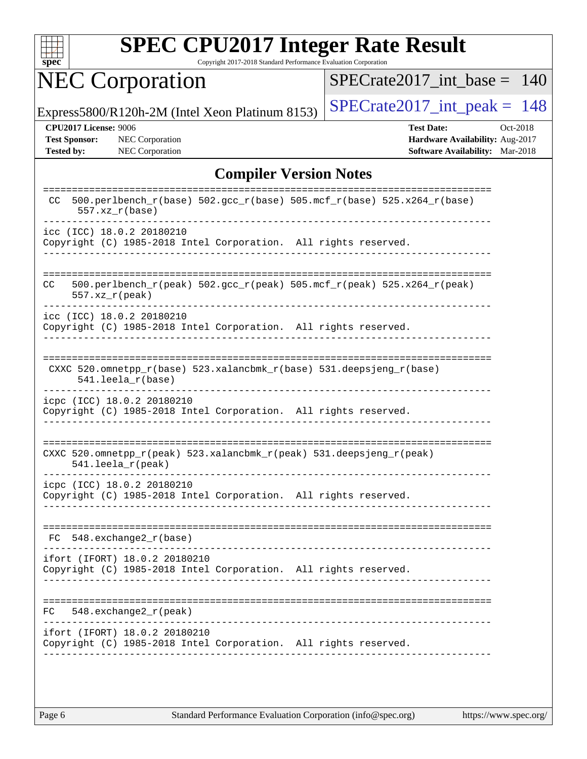

Copyright 2017-2018 Standard Performance Evaluation Corporation

# NEC Corporation

[SPECrate2017\\_int\\_base =](http://www.spec.org/auto/cpu2017/Docs/result-fields.html#SPECrate2017intbase) 140

Express5800/R120h-2M (Intel Xeon Platinum 8153) SPECrate  $2017$  int peak = 148

**[CPU2017 License:](http://www.spec.org/auto/cpu2017/Docs/result-fields.html#CPU2017License)** 9006 **[Test Date:](http://www.spec.org/auto/cpu2017/Docs/result-fields.html#TestDate)** Oct-2018 **[Test Sponsor:](http://www.spec.org/auto/cpu2017/Docs/result-fields.html#TestSponsor)** NEC Corporation **[Hardware Availability:](http://www.spec.org/auto/cpu2017/Docs/result-fields.html#HardwareAvailability)** Aug-2017 **[Tested by:](http://www.spec.org/auto/cpu2017/Docs/result-fields.html#Testedby)** NEC Corporation **[Software Availability:](http://www.spec.org/auto/cpu2017/Docs/result-fields.html#SoftwareAvailability)** Mar-2018

#### **[Compiler Version Notes](http://www.spec.org/auto/cpu2017/Docs/result-fields.html#CompilerVersionNotes)**

| CC.<br>$557.xx$ $r(base)$  | --------<br>500.perlbench_r(base) 502.gcc_r(base) 505.mcf_r(base) 525.x264_r(base)               |
|----------------------------|--------------------------------------------------------------------------------------------------|
| icc (ICC) 18.0.2 20180210  | Copyright (C) 1985-2018 Intel Corporation. All rights reserved.                                  |
| CC<br>$557. xz_r (peak)$   | 500.perlbench_r(peak) 502.gcc_r(peak) 505.mcf_r(peak) 525.x264_r(peak)                           |
| icc (ICC) 18.0.2 20180210  | Copyright (C) 1985-2018 Intel Corporation. All rights reserved.                                  |
|                            | CXXC 520.omnetpp_r(base) 523.xalancbmk_r(base) 531.deepsjeng_r(base)<br>541.leela r(base)        |
|                            | icpc (ICC) 18.0.2 20180210<br>Copyright (C) 1985-2018 Intel Corporation. All rights reserved.    |
|                            | CXXC 520.omnetpp_r(peak) 523.xalancbmk_r(peak) 531.deepsjeng_r(peak)<br>$541.$ leela r(peak)     |
| icpc (ICC) 18.0.2 20180210 | Copyright (C) 1985-2018 Intel Corporation. All rights reserved.                                  |
| FC                         | $548$ . exchange $2\degree$ r (base)                                                             |
|                            | ifort (IFORT) 18.0.2 20180210<br>Copyright (C) 1985-2018 Intel Corporation. All rights reserved. |
| FC.                        | $548$ . exchange $2\degree$ r (peak)                                                             |
|                            | ifort (IFORT) 18.0.2 20180210<br>Copyright (C) 1985-2018 Intel Corporation. All rights reserved. |
|                            |                                                                                                  |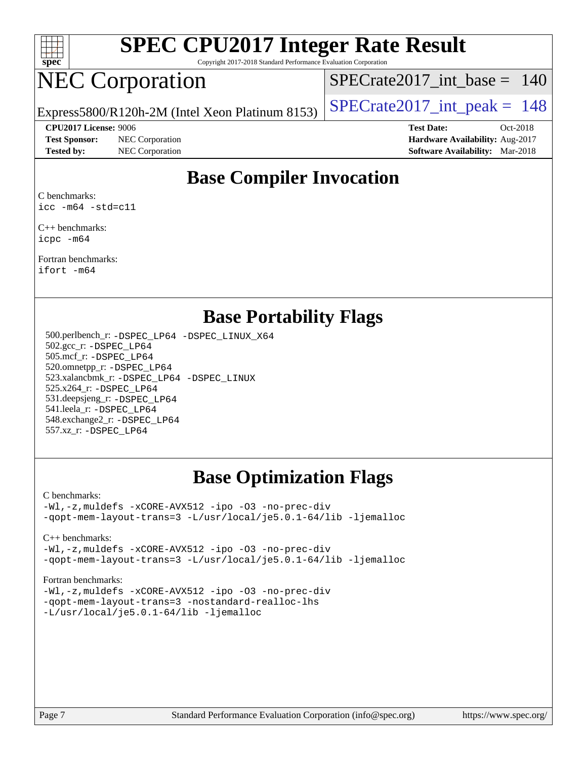

Copyright 2017-2018 Standard Performance Evaluation Corporation

## NEC Corporation

[SPECrate2017\\_int\\_base =](http://www.spec.org/auto/cpu2017/Docs/result-fields.html#SPECrate2017intbase) 140

Express5800/R120h-2M (Intel Xeon Platinum 8153) SPECrate  $2017$  int peak = 148

**[CPU2017 License:](http://www.spec.org/auto/cpu2017/Docs/result-fields.html#CPU2017License)** 9006 **[Test Date:](http://www.spec.org/auto/cpu2017/Docs/result-fields.html#TestDate)** Oct-2018

**[Test Sponsor:](http://www.spec.org/auto/cpu2017/Docs/result-fields.html#TestSponsor)** NEC Corporation **[Hardware Availability:](http://www.spec.org/auto/cpu2017/Docs/result-fields.html#HardwareAvailability)** Aug-2017

**[Tested by:](http://www.spec.org/auto/cpu2017/Docs/result-fields.html#Testedby)** NEC Corporation **[Software Availability:](http://www.spec.org/auto/cpu2017/Docs/result-fields.html#SoftwareAvailability)** Mar-2018

### **[Base Compiler Invocation](http://www.spec.org/auto/cpu2017/Docs/result-fields.html#BaseCompilerInvocation)**

[C benchmarks](http://www.spec.org/auto/cpu2017/Docs/result-fields.html#Cbenchmarks): [icc -m64 -std=c11](http://www.spec.org/cpu2017/results/res2018q4/cpu2017-20181001-08988.flags.html#user_CCbase_intel_icc_64bit_c11_33ee0cdaae7deeeab2a9725423ba97205ce30f63b9926c2519791662299b76a0318f32ddfffdc46587804de3178b4f9328c46fa7c2b0cd779d7a61945c91cd35)

[C++ benchmarks:](http://www.spec.org/auto/cpu2017/Docs/result-fields.html#CXXbenchmarks) [icpc -m64](http://www.spec.org/cpu2017/results/res2018q4/cpu2017-20181001-08988.flags.html#user_CXXbase_intel_icpc_64bit_4ecb2543ae3f1412ef961e0650ca070fec7b7afdcd6ed48761b84423119d1bf6bdf5cad15b44d48e7256388bc77273b966e5eb805aefd121eb22e9299b2ec9d9)

[Fortran benchmarks](http://www.spec.org/auto/cpu2017/Docs/result-fields.html#Fortranbenchmarks): [ifort -m64](http://www.spec.org/cpu2017/results/res2018q4/cpu2017-20181001-08988.flags.html#user_FCbase_intel_ifort_64bit_24f2bb282fbaeffd6157abe4f878425411749daecae9a33200eee2bee2fe76f3b89351d69a8130dd5949958ce389cf37ff59a95e7a40d588e8d3a57e0c3fd751)

#### **[Base Portability Flags](http://www.spec.org/auto/cpu2017/Docs/result-fields.html#BasePortabilityFlags)**

 500.perlbench\_r: [-DSPEC\\_LP64](http://www.spec.org/cpu2017/results/res2018q4/cpu2017-20181001-08988.flags.html#b500.perlbench_r_basePORTABILITY_DSPEC_LP64) [-DSPEC\\_LINUX\\_X64](http://www.spec.org/cpu2017/results/res2018q4/cpu2017-20181001-08988.flags.html#b500.perlbench_r_baseCPORTABILITY_DSPEC_LINUX_X64) 502.gcc\_r: [-DSPEC\\_LP64](http://www.spec.org/cpu2017/results/res2018q4/cpu2017-20181001-08988.flags.html#suite_basePORTABILITY502_gcc_r_DSPEC_LP64) 505.mcf\_r: [-DSPEC\\_LP64](http://www.spec.org/cpu2017/results/res2018q4/cpu2017-20181001-08988.flags.html#suite_basePORTABILITY505_mcf_r_DSPEC_LP64) 520.omnetpp\_r: [-DSPEC\\_LP64](http://www.spec.org/cpu2017/results/res2018q4/cpu2017-20181001-08988.flags.html#suite_basePORTABILITY520_omnetpp_r_DSPEC_LP64) 523.xalancbmk\_r: [-DSPEC\\_LP64](http://www.spec.org/cpu2017/results/res2018q4/cpu2017-20181001-08988.flags.html#suite_basePORTABILITY523_xalancbmk_r_DSPEC_LP64) [-DSPEC\\_LINUX](http://www.spec.org/cpu2017/results/res2018q4/cpu2017-20181001-08988.flags.html#b523.xalancbmk_r_baseCXXPORTABILITY_DSPEC_LINUX) 525.x264\_r: [-DSPEC\\_LP64](http://www.spec.org/cpu2017/results/res2018q4/cpu2017-20181001-08988.flags.html#suite_basePORTABILITY525_x264_r_DSPEC_LP64) 531.deepsjeng\_r: [-DSPEC\\_LP64](http://www.spec.org/cpu2017/results/res2018q4/cpu2017-20181001-08988.flags.html#suite_basePORTABILITY531_deepsjeng_r_DSPEC_LP64) 541.leela\_r: [-DSPEC\\_LP64](http://www.spec.org/cpu2017/results/res2018q4/cpu2017-20181001-08988.flags.html#suite_basePORTABILITY541_leela_r_DSPEC_LP64) 548.exchange2\_r: [-DSPEC\\_LP64](http://www.spec.org/cpu2017/results/res2018q4/cpu2017-20181001-08988.flags.html#suite_basePORTABILITY548_exchange2_r_DSPEC_LP64) 557.xz\_r: [-DSPEC\\_LP64](http://www.spec.org/cpu2017/results/res2018q4/cpu2017-20181001-08988.flags.html#suite_basePORTABILITY557_xz_r_DSPEC_LP64)

### **[Base Optimization Flags](http://www.spec.org/auto/cpu2017/Docs/result-fields.html#BaseOptimizationFlags)**

[C benchmarks](http://www.spec.org/auto/cpu2017/Docs/result-fields.html#Cbenchmarks):

[-Wl,-z,muldefs](http://www.spec.org/cpu2017/results/res2018q4/cpu2017-20181001-08988.flags.html#user_CCbase_link_force_multiple1_b4cbdb97b34bdee9ceefcfe54f4c8ea74255f0b02a4b23e853cdb0e18eb4525ac79b5a88067c842dd0ee6996c24547a27a4b99331201badda8798ef8a743f577) [-xCORE-AVX512](http://www.spec.org/cpu2017/results/res2018q4/cpu2017-20181001-08988.flags.html#user_CCbase_f-xCORE-AVX512) [-ipo](http://www.spec.org/cpu2017/results/res2018q4/cpu2017-20181001-08988.flags.html#user_CCbase_f-ipo) [-O3](http://www.spec.org/cpu2017/results/res2018q4/cpu2017-20181001-08988.flags.html#user_CCbase_f-O3) [-no-prec-div](http://www.spec.org/cpu2017/results/res2018q4/cpu2017-20181001-08988.flags.html#user_CCbase_f-no-prec-div) [-qopt-mem-layout-trans=3](http://www.spec.org/cpu2017/results/res2018q4/cpu2017-20181001-08988.flags.html#user_CCbase_f-qopt-mem-layout-trans_de80db37974c74b1f0e20d883f0b675c88c3b01e9d123adea9b28688d64333345fb62bc4a798493513fdb68f60282f9a726aa07f478b2f7113531aecce732043) [-L/usr/local/je5.0.1-64/lib](http://www.spec.org/cpu2017/results/res2018q4/cpu2017-20181001-08988.flags.html#user_CCbase_jemalloc_link_path64_4b10a636b7bce113509b17f3bd0d6226c5fb2346b9178c2d0232c14f04ab830f976640479e5c33dc2bcbbdad86ecfb6634cbbd4418746f06f368b512fced5394) [-ljemalloc](http://www.spec.org/cpu2017/results/res2018q4/cpu2017-20181001-08988.flags.html#user_CCbase_jemalloc_link_lib_d1249b907c500fa1c0672f44f562e3d0f79738ae9e3c4a9c376d49f265a04b9c99b167ecedbf6711b3085be911c67ff61f150a17b3472be731631ba4d0471706)

[C++ benchmarks:](http://www.spec.org/auto/cpu2017/Docs/result-fields.html#CXXbenchmarks)

[-Wl,-z,muldefs](http://www.spec.org/cpu2017/results/res2018q4/cpu2017-20181001-08988.flags.html#user_CXXbase_link_force_multiple1_b4cbdb97b34bdee9ceefcfe54f4c8ea74255f0b02a4b23e853cdb0e18eb4525ac79b5a88067c842dd0ee6996c24547a27a4b99331201badda8798ef8a743f577) [-xCORE-AVX512](http://www.spec.org/cpu2017/results/res2018q4/cpu2017-20181001-08988.flags.html#user_CXXbase_f-xCORE-AVX512) [-ipo](http://www.spec.org/cpu2017/results/res2018q4/cpu2017-20181001-08988.flags.html#user_CXXbase_f-ipo) [-O3](http://www.spec.org/cpu2017/results/res2018q4/cpu2017-20181001-08988.flags.html#user_CXXbase_f-O3) [-no-prec-div](http://www.spec.org/cpu2017/results/res2018q4/cpu2017-20181001-08988.flags.html#user_CXXbase_f-no-prec-div) [-qopt-mem-layout-trans=3](http://www.spec.org/cpu2017/results/res2018q4/cpu2017-20181001-08988.flags.html#user_CXXbase_f-qopt-mem-layout-trans_de80db37974c74b1f0e20d883f0b675c88c3b01e9d123adea9b28688d64333345fb62bc4a798493513fdb68f60282f9a726aa07f478b2f7113531aecce732043) [-L/usr/local/je5.0.1-64/lib](http://www.spec.org/cpu2017/results/res2018q4/cpu2017-20181001-08988.flags.html#user_CXXbase_jemalloc_link_path64_4b10a636b7bce113509b17f3bd0d6226c5fb2346b9178c2d0232c14f04ab830f976640479e5c33dc2bcbbdad86ecfb6634cbbd4418746f06f368b512fced5394) [-ljemalloc](http://www.spec.org/cpu2017/results/res2018q4/cpu2017-20181001-08988.flags.html#user_CXXbase_jemalloc_link_lib_d1249b907c500fa1c0672f44f562e3d0f79738ae9e3c4a9c376d49f265a04b9c99b167ecedbf6711b3085be911c67ff61f150a17b3472be731631ba4d0471706)

[Fortran benchmarks](http://www.spec.org/auto/cpu2017/Docs/result-fields.html#Fortranbenchmarks):

[-Wl,-z,muldefs](http://www.spec.org/cpu2017/results/res2018q4/cpu2017-20181001-08988.flags.html#user_FCbase_link_force_multiple1_b4cbdb97b34bdee9ceefcfe54f4c8ea74255f0b02a4b23e853cdb0e18eb4525ac79b5a88067c842dd0ee6996c24547a27a4b99331201badda8798ef8a743f577) [-xCORE-AVX512](http://www.spec.org/cpu2017/results/res2018q4/cpu2017-20181001-08988.flags.html#user_FCbase_f-xCORE-AVX512) [-ipo](http://www.spec.org/cpu2017/results/res2018q4/cpu2017-20181001-08988.flags.html#user_FCbase_f-ipo) [-O3](http://www.spec.org/cpu2017/results/res2018q4/cpu2017-20181001-08988.flags.html#user_FCbase_f-O3) [-no-prec-div](http://www.spec.org/cpu2017/results/res2018q4/cpu2017-20181001-08988.flags.html#user_FCbase_f-no-prec-div) [-qopt-mem-layout-trans=3](http://www.spec.org/cpu2017/results/res2018q4/cpu2017-20181001-08988.flags.html#user_FCbase_f-qopt-mem-layout-trans_de80db37974c74b1f0e20d883f0b675c88c3b01e9d123adea9b28688d64333345fb62bc4a798493513fdb68f60282f9a726aa07f478b2f7113531aecce732043) [-nostandard-realloc-lhs](http://www.spec.org/cpu2017/results/res2018q4/cpu2017-20181001-08988.flags.html#user_FCbase_f_2003_std_realloc_82b4557e90729c0f113870c07e44d33d6f5a304b4f63d4c15d2d0f1fab99f5daaed73bdb9275d9ae411527f28b936061aa8b9c8f2d63842963b95c9dd6426b8a) [-L/usr/local/je5.0.1-64/lib](http://www.spec.org/cpu2017/results/res2018q4/cpu2017-20181001-08988.flags.html#user_FCbase_jemalloc_link_path64_4b10a636b7bce113509b17f3bd0d6226c5fb2346b9178c2d0232c14f04ab830f976640479e5c33dc2bcbbdad86ecfb6634cbbd4418746f06f368b512fced5394) [-ljemalloc](http://www.spec.org/cpu2017/results/res2018q4/cpu2017-20181001-08988.flags.html#user_FCbase_jemalloc_link_lib_d1249b907c500fa1c0672f44f562e3d0f79738ae9e3c4a9c376d49f265a04b9c99b167ecedbf6711b3085be911c67ff61f150a17b3472be731631ba4d0471706)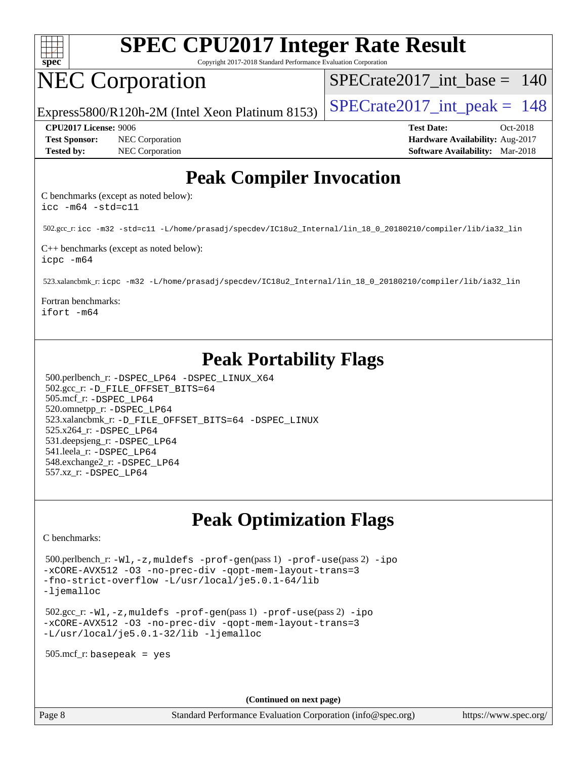

Copyright 2017-2018 Standard Performance Evaluation Corporation

## NEC Corporation

[SPECrate2017\\_int\\_base =](http://www.spec.org/auto/cpu2017/Docs/result-fields.html#SPECrate2017intbase) 140

Express5800/R120h-2M (Intel Xeon Platinum 8153) SPECrate  $2017$  int peak = 148

**[Test Sponsor:](http://www.spec.org/auto/cpu2017/Docs/result-fields.html#TestSponsor)** NEC Corporation **[Hardware Availability:](http://www.spec.org/auto/cpu2017/Docs/result-fields.html#HardwareAvailability)** Aug-2017 **[Tested by:](http://www.spec.org/auto/cpu2017/Docs/result-fields.html#Testedby)** NEC Corporation **[Software Availability:](http://www.spec.org/auto/cpu2017/Docs/result-fields.html#SoftwareAvailability)** Mar-2018

**[CPU2017 License:](http://www.spec.org/auto/cpu2017/Docs/result-fields.html#CPU2017License)** 9006 **[Test Date:](http://www.spec.org/auto/cpu2017/Docs/result-fields.html#TestDate)** Oct-2018

### **[Peak Compiler Invocation](http://www.spec.org/auto/cpu2017/Docs/result-fields.html#PeakCompilerInvocation)**

[C benchmarks \(except as noted below\)](http://www.spec.org/auto/cpu2017/Docs/result-fields.html#Cbenchmarksexceptasnotedbelow): [icc -m64 -std=c11](http://www.spec.org/cpu2017/results/res2018q4/cpu2017-20181001-08988.flags.html#user_CCpeak_intel_icc_64bit_c11_33ee0cdaae7deeeab2a9725423ba97205ce30f63b9926c2519791662299b76a0318f32ddfffdc46587804de3178b4f9328c46fa7c2b0cd779d7a61945c91cd35)

502.gcc\_r: [icc -m32 -std=c11 -L/home/prasadj/specdev/IC18u2\\_Internal/lin\\_18\\_0\\_20180210/compiler/lib/ia32\\_lin](http://www.spec.org/cpu2017/results/res2018q4/cpu2017-20181001-08988.flags.html#user_peakCCLD502_gcc_r_intel_icc_a481ac844e7127046fad14d498c730a1848fa901fbbb2c3dfdd5e9fbbac777c8009953946d55d8b6afe8ed0da70dd2b4f8dedbdf7ab1ee211ba70d24a5d89f85)

[C++ benchmarks \(except as noted below\):](http://www.spec.org/auto/cpu2017/Docs/result-fields.html#CXXbenchmarksexceptasnotedbelow) [icpc -m64](http://www.spec.org/cpu2017/results/res2018q4/cpu2017-20181001-08988.flags.html#user_CXXpeak_intel_icpc_64bit_4ecb2543ae3f1412ef961e0650ca070fec7b7afdcd6ed48761b84423119d1bf6bdf5cad15b44d48e7256388bc77273b966e5eb805aefd121eb22e9299b2ec9d9)

523.xalancbmk\_r: [icpc -m32 -L/home/prasadj/specdev/IC18u2\\_Internal/lin\\_18\\_0\\_20180210/compiler/lib/ia32\\_lin](http://www.spec.org/cpu2017/results/res2018q4/cpu2017-20181001-08988.flags.html#user_peakCXXLD523_xalancbmk_r_intel_icpc_c6d030cd79af6ea7d6fb64c57e8fe7ae8fe0b96fc5a3b3f4a10e3273b3d7fa9decd8263f6330cef23f751cb093a69fae84a2bf4c243500a8eed069248128076f)

[Fortran benchmarks:](http://www.spec.org/auto/cpu2017/Docs/result-fields.html#Fortranbenchmarks) [ifort -m64](http://www.spec.org/cpu2017/results/res2018q4/cpu2017-20181001-08988.flags.html#user_FCpeak_intel_ifort_64bit_24f2bb282fbaeffd6157abe4f878425411749daecae9a33200eee2bee2fe76f3b89351d69a8130dd5949958ce389cf37ff59a95e7a40d588e8d3a57e0c3fd751)

## **[Peak Portability Flags](http://www.spec.org/auto/cpu2017/Docs/result-fields.html#PeakPortabilityFlags)**

 500.perlbench\_r: [-DSPEC\\_LP64](http://www.spec.org/cpu2017/results/res2018q4/cpu2017-20181001-08988.flags.html#b500.perlbench_r_peakPORTABILITY_DSPEC_LP64) [-DSPEC\\_LINUX\\_X64](http://www.spec.org/cpu2017/results/res2018q4/cpu2017-20181001-08988.flags.html#b500.perlbench_r_peakCPORTABILITY_DSPEC_LINUX_X64) 502.gcc\_r: [-D\\_FILE\\_OFFSET\\_BITS=64](http://www.spec.org/cpu2017/results/res2018q4/cpu2017-20181001-08988.flags.html#user_peakPORTABILITY502_gcc_r_file_offset_bits_64_5ae949a99b284ddf4e95728d47cb0843d81b2eb0e18bdfe74bbf0f61d0b064f4bda2f10ea5eb90e1dcab0e84dbc592acfc5018bc955c18609f94ddb8d550002c) 505.mcf\_r: [-DSPEC\\_LP64](http://www.spec.org/cpu2017/results/res2018q4/cpu2017-20181001-08988.flags.html#suite_peakPORTABILITY505_mcf_r_DSPEC_LP64) 520.omnetpp\_r: [-DSPEC\\_LP64](http://www.spec.org/cpu2017/results/res2018q4/cpu2017-20181001-08988.flags.html#suite_peakPORTABILITY520_omnetpp_r_DSPEC_LP64) 523.xalancbmk\_r: [-D\\_FILE\\_OFFSET\\_BITS=64](http://www.spec.org/cpu2017/results/res2018q4/cpu2017-20181001-08988.flags.html#user_peakPORTABILITY523_xalancbmk_r_file_offset_bits_64_5ae949a99b284ddf4e95728d47cb0843d81b2eb0e18bdfe74bbf0f61d0b064f4bda2f10ea5eb90e1dcab0e84dbc592acfc5018bc955c18609f94ddb8d550002c) [-DSPEC\\_LINUX](http://www.spec.org/cpu2017/results/res2018q4/cpu2017-20181001-08988.flags.html#b523.xalancbmk_r_peakCXXPORTABILITY_DSPEC_LINUX) 525.x264\_r: [-DSPEC\\_LP64](http://www.spec.org/cpu2017/results/res2018q4/cpu2017-20181001-08988.flags.html#suite_peakPORTABILITY525_x264_r_DSPEC_LP64) 531.deepsjeng\_r: [-DSPEC\\_LP64](http://www.spec.org/cpu2017/results/res2018q4/cpu2017-20181001-08988.flags.html#suite_peakPORTABILITY531_deepsjeng_r_DSPEC_LP64) 541.leela\_r: [-DSPEC\\_LP64](http://www.spec.org/cpu2017/results/res2018q4/cpu2017-20181001-08988.flags.html#suite_peakPORTABILITY541_leela_r_DSPEC_LP64) 548.exchange2\_r: [-DSPEC\\_LP64](http://www.spec.org/cpu2017/results/res2018q4/cpu2017-20181001-08988.flags.html#suite_peakPORTABILITY548_exchange2_r_DSPEC_LP64) 557.xz\_r: [-DSPEC\\_LP64](http://www.spec.org/cpu2017/results/res2018q4/cpu2017-20181001-08988.flags.html#suite_peakPORTABILITY557_xz_r_DSPEC_LP64)

## **[Peak Optimization Flags](http://www.spec.org/auto/cpu2017/Docs/result-fields.html#PeakOptimizationFlags)**

[C benchmarks](http://www.spec.org/auto/cpu2017/Docs/result-fields.html#Cbenchmarks):

 500.perlbench\_r: [-Wl,-z,muldefs](http://www.spec.org/cpu2017/results/res2018q4/cpu2017-20181001-08988.flags.html#user_peakEXTRA_LDFLAGS500_perlbench_r_link_force_multiple1_b4cbdb97b34bdee9ceefcfe54f4c8ea74255f0b02a4b23e853cdb0e18eb4525ac79b5a88067c842dd0ee6996c24547a27a4b99331201badda8798ef8a743f577) [-prof-gen](http://www.spec.org/cpu2017/results/res2018q4/cpu2017-20181001-08988.flags.html#user_peakPASS1_CFLAGSPASS1_LDFLAGS500_perlbench_r_prof_gen_5aa4926d6013ddb2a31985c654b3eb18169fc0c6952a63635c234f711e6e63dd76e94ad52365559451ec499a2cdb89e4dc58ba4c67ef54ca681ffbe1461d6b36)(pass 1) [-prof-use](http://www.spec.org/cpu2017/results/res2018q4/cpu2017-20181001-08988.flags.html#user_peakPASS2_CFLAGSPASS2_LDFLAGS500_perlbench_r_prof_use_1a21ceae95f36a2b53c25747139a6c16ca95bd9def2a207b4f0849963b97e94f5260e30a0c64f4bb623698870e679ca08317ef8150905d41bd88c6f78df73f19)(pass 2) [-ipo](http://www.spec.org/cpu2017/results/res2018q4/cpu2017-20181001-08988.flags.html#user_peakPASS1_COPTIMIZEPASS2_COPTIMIZE500_perlbench_r_f-ipo) [-xCORE-AVX512](http://www.spec.org/cpu2017/results/res2018q4/cpu2017-20181001-08988.flags.html#user_peakPASS2_COPTIMIZE500_perlbench_r_f-xCORE-AVX512) [-O3](http://www.spec.org/cpu2017/results/res2018q4/cpu2017-20181001-08988.flags.html#user_peakPASS1_COPTIMIZEPASS2_COPTIMIZE500_perlbench_r_f-O3) [-no-prec-div](http://www.spec.org/cpu2017/results/res2018q4/cpu2017-20181001-08988.flags.html#user_peakPASS1_COPTIMIZEPASS2_COPTIMIZE500_perlbench_r_f-no-prec-div) [-qopt-mem-layout-trans=3](http://www.spec.org/cpu2017/results/res2018q4/cpu2017-20181001-08988.flags.html#user_peakPASS1_COPTIMIZEPASS2_COPTIMIZE500_perlbench_r_f-qopt-mem-layout-trans_de80db37974c74b1f0e20d883f0b675c88c3b01e9d123adea9b28688d64333345fb62bc4a798493513fdb68f60282f9a726aa07f478b2f7113531aecce732043) [-fno-strict-overflow](http://www.spec.org/cpu2017/results/res2018q4/cpu2017-20181001-08988.flags.html#user_peakEXTRA_OPTIMIZE500_perlbench_r_f-fno-strict-overflow) [-L/usr/local/je5.0.1-64/lib](http://www.spec.org/cpu2017/results/res2018q4/cpu2017-20181001-08988.flags.html#user_peakEXTRA_LIBS500_perlbench_r_jemalloc_link_path64_4b10a636b7bce113509b17f3bd0d6226c5fb2346b9178c2d0232c14f04ab830f976640479e5c33dc2bcbbdad86ecfb6634cbbd4418746f06f368b512fced5394) [-ljemalloc](http://www.spec.org/cpu2017/results/res2018q4/cpu2017-20181001-08988.flags.html#user_peakEXTRA_LIBS500_perlbench_r_jemalloc_link_lib_d1249b907c500fa1c0672f44f562e3d0f79738ae9e3c4a9c376d49f265a04b9c99b167ecedbf6711b3085be911c67ff61f150a17b3472be731631ba4d0471706)

 502.gcc\_r: [-Wl,-z,muldefs](http://www.spec.org/cpu2017/results/res2018q4/cpu2017-20181001-08988.flags.html#user_peakEXTRA_LDFLAGS502_gcc_r_link_force_multiple1_b4cbdb97b34bdee9ceefcfe54f4c8ea74255f0b02a4b23e853cdb0e18eb4525ac79b5a88067c842dd0ee6996c24547a27a4b99331201badda8798ef8a743f577) [-prof-gen](http://www.spec.org/cpu2017/results/res2018q4/cpu2017-20181001-08988.flags.html#user_peakPASS1_CFLAGSPASS1_LDFLAGS502_gcc_r_prof_gen_5aa4926d6013ddb2a31985c654b3eb18169fc0c6952a63635c234f711e6e63dd76e94ad52365559451ec499a2cdb89e4dc58ba4c67ef54ca681ffbe1461d6b36)(pass 1) [-prof-use](http://www.spec.org/cpu2017/results/res2018q4/cpu2017-20181001-08988.flags.html#user_peakPASS2_CFLAGSPASS2_LDFLAGS502_gcc_r_prof_use_1a21ceae95f36a2b53c25747139a6c16ca95bd9def2a207b4f0849963b97e94f5260e30a0c64f4bb623698870e679ca08317ef8150905d41bd88c6f78df73f19)(pass 2) [-ipo](http://www.spec.org/cpu2017/results/res2018q4/cpu2017-20181001-08988.flags.html#user_peakPASS1_COPTIMIZEPASS2_COPTIMIZE502_gcc_r_f-ipo) [-xCORE-AVX512](http://www.spec.org/cpu2017/results/res2018q4/cpu2017-20181001-08988.flags.html#user_peakPASS2_COPTIMIZE502_gcc_r_f-xCORE-AVX512) [-O3](http://www.spec.org/cpu2017/results/res2018q4/cpu2017-20181001-08988.flags.html#user_peakPASS1_COPTIMIZEPASS2_COPTIMIZE502_gcc_r_f-O3) [-no-prec-div](http://www.spec.org/cpu2017/results/res2018q4/cpu2017-20181001-08988.flags.html#user_peakPASS1_COPTIMIZEPASS2_COPTIMIZE502_gcc_r_f-no-prec-div) [-qopt-mem-layout-trans=3](http://www.spec.org/cpu2017/results/res2018q4/cpu2017-20181001-08988.flags.html#user_peakPASS1_COPTIMIZEPASS2_COPTIMIZE502_gcc_r_f-qopt-mem-layout-trans_de80db37974c74b1f0e20d883f0b675c88c3b01e9d123adea9b28688d64333345fb62bc4a798493513fdb68f60282f9a726aa07f478b2f7113531aecce732043) [-L/usr/local/je5.0.1-32/lib](http://www.spec.org/cpu2017/results/res2018q4/cpu2017-20181001-08988.flags.html#user_peakEXTRA_LIBS502_gcc_r_jemalloc_link_path32_e29f22e8e6c17053bbc6a0971f5a9c01a601a06bb1a59df2084b77a2fe0a2995b64fd4256feaeea39eeba3aae142e96e2b2b0a28974019c0c0c88139a84f900a) [-ljemalloc](http://www.spec.org/cpu2017/results/res2018q4/cpu2017-20181001-08988.flags.html#user_peakEXTRA_LIBS502_gcc_r_jemalloc_link_lib_d1249b907c500fa1c0672f44f562e3d0f79738ae9e3c4a9c376d49f265a04b9c99b167ecedbf6711b3085be911c67ff61f150a17b3472be731631ba4d0471706)

505.mcf\_r: basepeak = yes

**(Continued on next page)**

Page 8 Standard Performance Evaluation Corporation [\(info@spec.org\)](mailto:info@spec.org) <https://www.spec.org/>